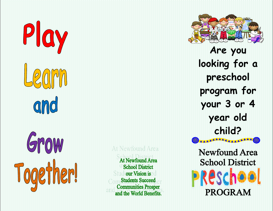

**At Newfound Area School District** our Vision is **Students Succeed Communities Prosper** and the World Benefits.

**Are you looking for a preschool program for your 3 or 4 year old child?**

**Newfound Area School District ERESCO PROGRAM** 

AAAAAAAAA(©)